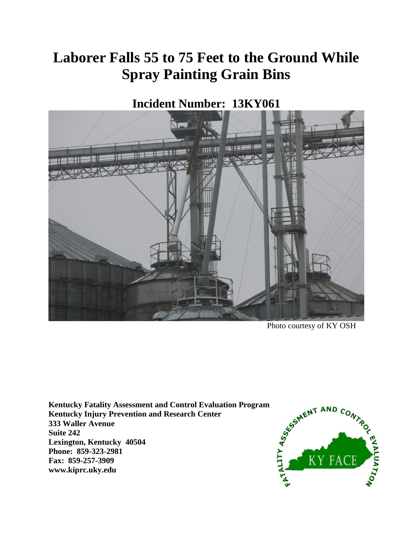# **Laborer Falls 55 to 75 Feet to the Ground While Spray Painting Grain Bins**

**Incident Number: 13KY061**



Photo courtesy of KY OSH

**Kentucky Fatality Assessment and Control Evaluation Program Kentucky Injury Prevention and Research Center 333 Waller Avenue Suite 242 Lexington, Kentucky 40504 Phone: 859-323-2981 Fax: 859-257-3909 www.kiprc.uky.edu**

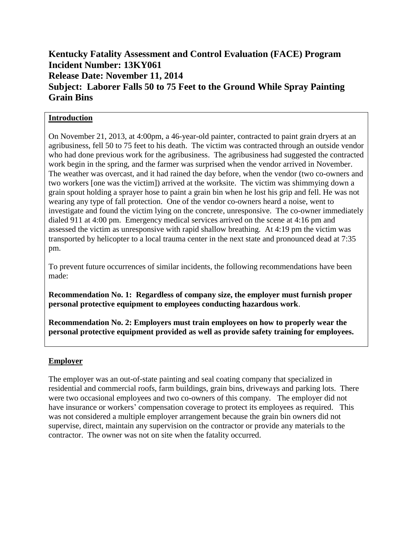## **Kentucky Fatality Assessment and Control Evaluation (FACE) Program Incident Number: 13KY061 Release Date: November 11, 2014 Subject: Laborer Falls 50 to 75 Feet to the Ground While Spray Painting Grain Bins**

### **Introduction**

On November 21, 2013, at 4:00pm, a 46-year-old painter, contracted to paint grain dryers at an agribusiness, fell 50 to 75 feet to his death. The victim was contracted through an outside vendor who had done previous work for the agribusiness. The agribusiness had suggested the contracted work begin in the spring, and the farmer was surprised when the vendor arrived in November. The weather was overcast, and it had rained the day before, when the vendor (two co-owners and two workers [one was the victim]) arrived at the worksite. The victim was shimmying down a grain spout holding a sprayer hose to paint a grain bin when he lost his grip and fell. He was not wearing any type of fall protection. One of the vendor co-owners heard a noise, went to investigate and found the victim lying on the concrete, unresponsive. The co-owner immediately dialed 911 at 4:00 pm. Emergency medical services arrived on the scene at 4:16 pm and assessed the victim as unresponsive with rapid shallow breathing. At 4:19 pm the victim was transported by helicopter to a local trauma center in the next state and pronounced dead at 7:35 pm.

To prevent future occurrences of similar incidents, the following recommendations have been made:

**Recommendation No. 1: Regardless of company size, the employer must furnish proper personal protective equipment to employees conducting hazardous work**.

**Recommendation No. 2: Employers must train employees on how to properly wear the personal protective equipment provided as well as provide safety training for employees.**

## **Employer**

The employer was an out-of-state painting and seal coating company that specialized in residential and commercial roofs, farm buildings, grain bins, driveways and parking lots. There were two occasional employees and two co-owners of this company. The employer did not have insurance or workers' compensation coverage to protect its employees as required. This was not considered a multiple employer arrangement because the grain bin owners did not supervise, direct, maintain any supervision on the contractor or provide any materials to the contractor. The owner was not on site when the fatality occurred.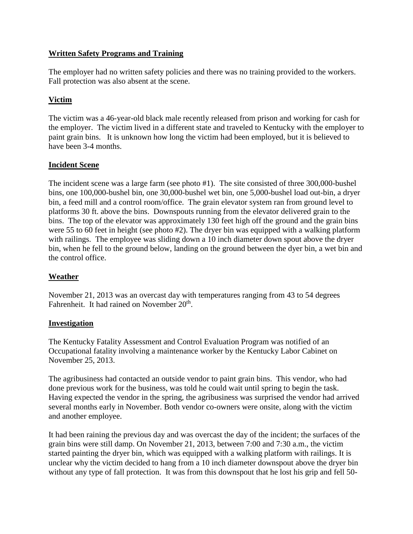#### **Written Safety Programs and Training**

The employer had no written safety policies and there was no training provided to the workers. Fall protection was also absent at the scene.

## **Victim**

The victim was a 46-year-old black male recently released from prison and working for cash for the employer. The victim lived in a different state and traveled to Kentucky with the employer to paint grain bins. It is unknown how long the victim had been employed, but it is believed to have been 3-4 months.

#### **Incident Scene**

The incident scene was a large farm (see photo #1). The site consisted of three 300,000-bushel bins, one 100,000-bushel bin, one 30,000-bushel wet bin, one 5,000-bushel load out-bin, a dryer bin, a feed mill and a control room/office. The grain elevator system ran from ground level to platforms 30 ft. above the bins. Downspouts running from the elevator delivered grain to the bins. The top of the elevator was approximately 130 feet high off the ground and the grain bins were 55 to 60 feet in height (see photo #2). The dryer bin was equipped with a walking platform with railings. The employee was sliding down a 10 inch diameter down spout above the dryer bin, when he fell to the ground below, landing on the ground between the dyer bin, a wet bin and the control office.

## **Weather**

November 21, 2013 was an overcast day with temperatures ranging from 43 to 54 degrees Fahrenheit. It had rained on November 20<sup>th</sup>.

#### **Investigation**

The Kentucky Fatality Assessment and Control Evaluation Program was notified of an Occupational fatality involving a maintenance worker by the Kentucky Labor Cabinet on November 25, 2013.

The agribusiness had contacted an outside vendor to paint grain bins. This vendor, who had done previous work for the business, was told he could wait until spring to begin the task. Having expected the vendor in the spring, the agribusiness was surprised the vendor had arrived several months early in November. Both vendor co-owners were onsite, along with the victim and another employee.

It had been raining the previous day and was overcast the day of the incident; the surfaces of the grain bins were still damp. On November 21, 2013, between 7:00 and 7:30 a.m., the victim started painting the dryer bin, which was equipped with a walking platform with railings. It is unclear why the victim decided to hang from a 10 inch diameter downspout above the dryer bin without any type of fall protection. It was from this downspout that he lost his grip and fell 50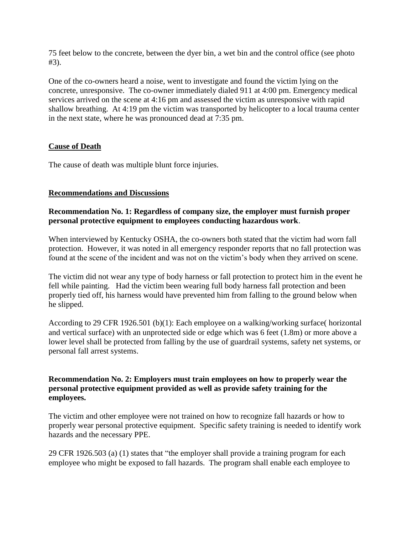75 feet below to the concrete, between the dyer bin, a wet bin and the control office (see photo #3).

One of the co-owners heard a noise, went to investigate and found the victim lying on the concrete, unresponsive. The co-owner immediately dialed 911 at 4:00 pm. Emergency medical services arrived on the scene at 4:16 pm and assessed the victim as unresponsive with rapid shallow breathing. At 4:19 pm the victim was transported by helicopter to a local trauma center in the next state, where he was pronounced dead at 7:35 pm.

#### **Cause of Death**

The cause of death was multiple blunt force injuries.

#### **Recommendations and Discussions**

#### **Recommendation No. 1: Regardless of company size, the employer must furnish proper personal protective equipment to employees conducting hazardous work**.

When interviewed by Kentucky OSHA, the co-owners both stated that the victim had worn fall protection. However, it was noted in all emergency responder reports that no fall protection was found at the scene of the incident and was not on the victim's body when they arrived on scene.

The victim did not wear any type of body harness or fall protection to protect him in the event he fell while painting. Had the victim been wearing full body harness fall protection and been properly tied off, his harness would have prevented him from falling to the ground below when he slipped.

According to 29 CFR 1926.501 (b)(1): Each employee on a walking/working surface( horizontal and vertical surface) with an unprotected side or edge which was 6 feet (1.8m) or more above a lower level shall be protected from falling by the use of guardrail systems, safety net systems, or personal fall arrest systems.

#### **Recommendation No. 2: Employers must train employees on how to properly wear the personal protective equipment provided as well as provide safety training for the employees.**

The victim and other employee were not trained on how to recognize fall hazards or how to properly wear personal protective equipment. Specific safety training is needed to identify work hazards and the necessary PPE.

29 CFR 1926.503 (a) (1) states that "the employer shall provide a training program for each employee who might be exposed to fall hazards. The program shall enable each employee to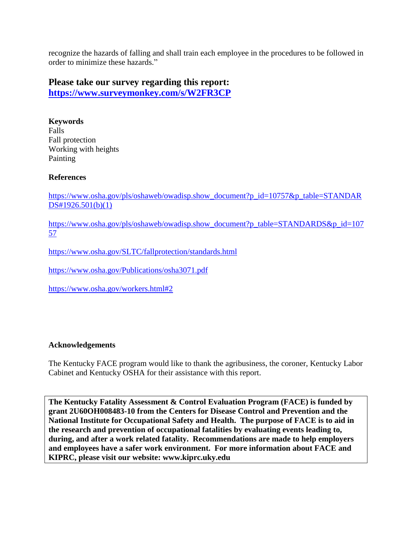recognize the hazards of falling and shall train each employee in the procedures to be followed in order to minimize these hazards."

## **Please take our survey regarding this report:**

**<https://www.surveymonkey.com/s/W2FR3CP>**

**Keywords** Falls Fall protection Working with heights Painting

#### **References**

[https://www.osha.gov/pls/oshaweb/owadisp.show\\_document?p\\_id=10757&p\\_table=STANDAR](https://www.osha.gov/pls/oshaweb/owadisp.show_document?p_id=10757&p_table=STANDARDS#1926.501(b)(1)) [DS#1926.501\(b\)\(1\)](https://www.osha.gov/pls/oshaweb/owadisp.show_document?p_id=10757&p_table=STANDARDS#1926.501(b)(1))

[https://www.osha.gov/pls/oshaweb/owadisp.show\\_document?p\\_table=STANDARDS&p\\_id=107](https://www.osha.gov/pls/oshaweb/owadisp.show_document?p_table=STANDARDS&p_id=10757) [57](https://www.osha.gov/pls/oshaweb/owadisp.show_document?p_table=STANDARDS&p_id=10757)

<https://www.osha.gov/SLTC/fallprotection/standards.html>

<https://www.osha.gov/Publications/osha3071.pdf>

<https://www.osha.gov/workers.html#2>

#### **Acknowledgements**

The Kentucky FACE program would like to thank the agribusiness, the coroner, Kentucky Labor Cabinet and Kentucky OSHA for their assistance with this report.

**The Kentucky Fatality Assessment & Control Evaluation Program (FACE) is funded by grant 2U60OH008483-10 from the Centers for Disease Control and Prevention and the National Institute for Occupational Safety and Health. The purpose of FACE is to aid in the research and prevention of occupational fatalities by evaluating events leading to, during, and after a work related fatality. Recommendations are made to help employers and employees have a safer work environment. For more information about FACE and KIPRC, please visit our website: www.kiprc.uky.edu**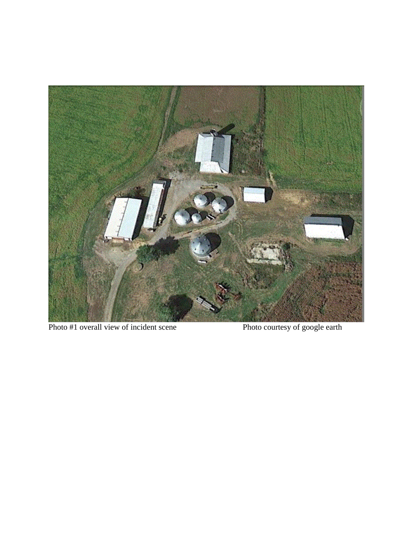

Photo #1 overall view of incident scene Photo courtesy of google earth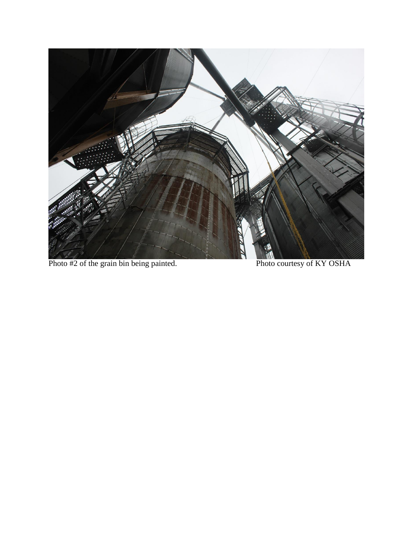